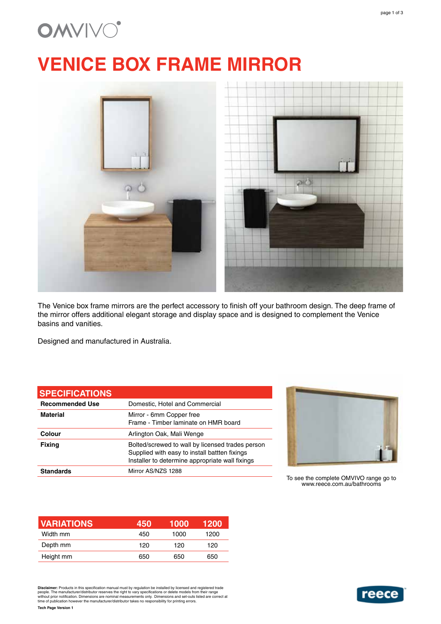## **OMVIVO**

# **VENICE BOX FRAME MIRROR**



The Venice box frame mirrors are the perfect accessory to finish off your bathroom design. The deep frame of the mirror offers additional elegant storage and display space and is designed to complement the Venice basins and vanities.

Designed and manufactured in Australia.

#### **SPECIFICATIONS**

| <b>Recommended Use</b> | Domestic, Hotel and Commercial                                                                                                                       |
|------------------------|------------------------------------------------------------------------------------------------------------------------------------------------------|
| <b>Material</b>        | Mirror - 6mm Copper free<br>Frame - Timber laminate on HMR board                                                                                     |
| Colour                 | Arlington Oak, Mali Wenge                                                                                                                            |
| <b>Fixing</b>          | Bolted/screwed to wall by licensed trades person<br>Supplied with easy to install battten fixings<br>Installer to determine appropriate wall fixings |
| <b>Standards</b>       | Mirror AS/NZS 1288                                                                                                                                   |



To see the complete OMVIVO range go to www.reece.com.au/bathrooms

| <b>VARIATIONS</b> | 450 | 1000 | 1200 |
|-------------------|-----|------|------|
| Width mm          | 450 | 1000 | 1200 |
| Depth mm          | 120 | 120  | 120  |
| Height mm         | 650 | 650  | 650  |

Disclaimer: Products in this specification manual must by regulation be installed by licensed and registered trade<br>people. The manufacturer/distributor reserves the right to vary specifications or delete models from their



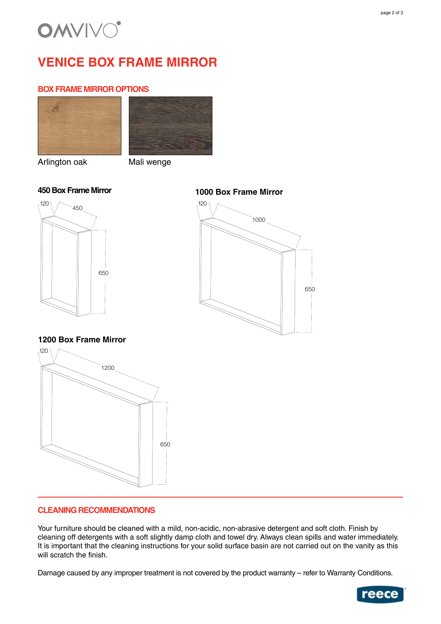

### **VENICE BOX FRAME MIRROR**

#### **BOX FRAME MIRROR OPTIONS**





Arlington oak Mali wenge



### **1000 Box Frame Mirror**



#### **1200 Box Frame Mirror**



#### **CLEANING RECOMMENDATIONS**

Your furniture should be cleaned with a mild, non-acidic, non-abrasive detergent and soft cloth. Finish by cleaning off detergents with a soft slightly damp cloth and towel dry. Always clean spills and water immediately. It is important that the cleaning instructions for your solid surface basin are not carried out on the vanity as this will scratch the finish.

Damage caused by any improper treatment is not covered by the product warranty – refer to Warranty Conditions.